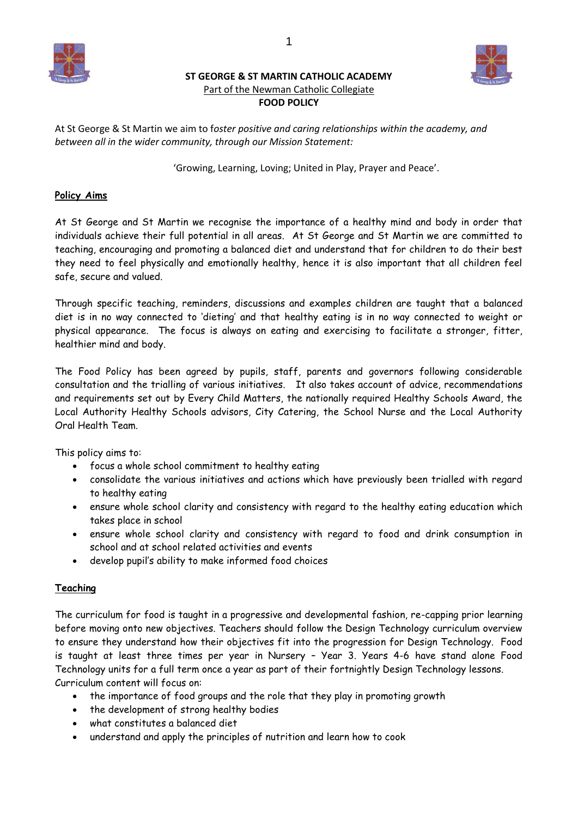

# **ST GEORGE & ST MARTIN CATHOLIC ACADEMY** Part of the Newman Catholic Collegiate **FOOD POLICY**



At St George & St Martin we aim to f*oster positive and caring relationships within the academy, and between all in the wider community, through our Mission Statement:*

'Growing, Learning, Loving; United in Play, Prayer and Peace'.

## **Policy Aims**

At St George and St Martin we recognise the importance of a healthy mind and body in order that individuals achieve their full potential in all areas. At St George and St Martin we are committed to teaching, encouraging and promoting a balanced diet and understand that for children to do their best they need to feel physically and emotionally healthy, hence it is also important that all children feel safe, secure and valued.

Through specific teaching, reminders, discussions and examples children are taught that a balanced diet is in no way connected to 'dieting' and that healthy eating is in no way connected to weight or physical appearance. The focus is always on eating and exercising to facilitate a stronger, fitter, healthier mind and body.

The Food Policy has been agreed by pupils, staff, parents and governors following considerable consultation and the trialling of various initiatives. It also takes account of advice, recommendations and requirements set out by Every Child Matters, the nationally required Healthy Schools Award, the Local Authority Healthy Schools advisors, City Catering, the School Nurse and the Local Authority Oral Health Team.

This policy aims to:

- focus a whole school commitment to healthy eating
- consolidate the various initiatives and actions which have previously been trialled with regard to healthy eating
- ensure whole school clarity and consistency with regard to the healthy eating education which takes place in school
- ensure whole school clarity and consistency with regard to food and drink consumption in school and at school related activities and events
- develop pupil's ability to make informed food choices

## **Teaching**

The curriculum for food is taught in a progressive and developmental fashion, re-capping prior learning before moving onto new objectives. Teachers should follow the Design Technology curriculum overview to ensure they understand how their objectives fit into the progression for Design Technology. Food is taught at least three times per year in Nursery – Year 3. Years 4-6 have stand alone Food Technology units for a full term once a year as part of their fortnightly Design Technology lessons. Curriculum content will focus on:

- the importance of food groups and the role that they play in promoting growth
- the development of strong healthy bodies
- what constitutes a balanced diet
- understand and apply the principles of nutrition and learn how to cook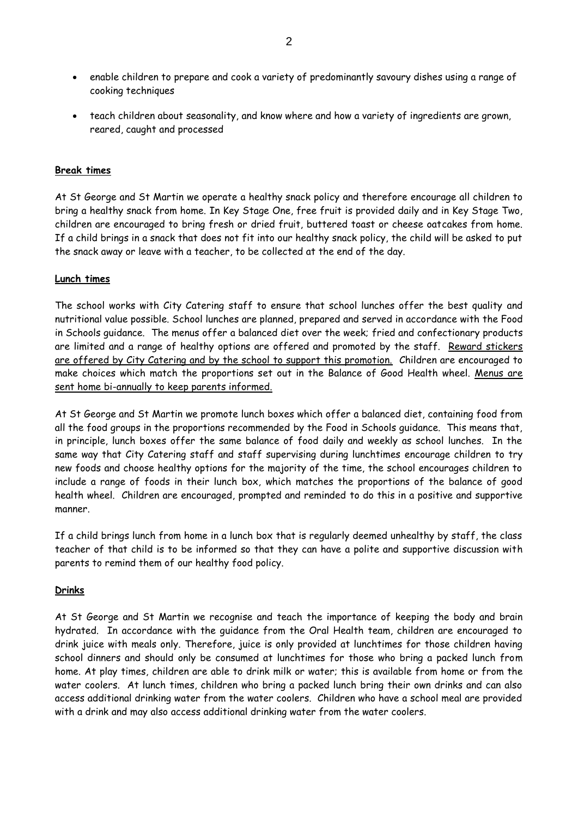- enable children to prepare and cook a variety of predominantly savoury dishes using a range of cooking techniques
- teach children about seasonality, and know where and how a variety of ingredients are grown, reared, caught and processed

#### **Break times**

At St George and St Martin we operate a healthy snack policy and therefore encourage all children to bring a healthy snack from home. In Key Stage One, free fruit is provided daily and in Key Stage Two, children are encouraged to bring fresh or dried fruit, buttered toast or cheese oatcakes from home. If a child brings in a snack that does not fit into our healthy snack policy, the child will be asked to put the snack away or leave with a teacher, to be collected at the end of the day.

## **Lunch times**

The school works with City Catering staff to ensure that school lunches offer the best quality and nutritional value possible. School lunches are planned, prepared and served in accordance with the Food in Schools guidance. The menus offer a balanced diet over the week; fried and confectionary products are limited and a range of healthy options are offered and promoted by the staff. Reward stickers are offered by City Catering and by the school to support this promotion. Children are encouraged to make choices which match the proportions set out in the Balance of Good Health wheel. Menus are sent home bi-annually to keep parents informed.

At St George and St Martin we promote lunch boxes which offer a balanced diet, containing food from all the food groups in the proportions recommended by the Food in Schools guidance. This means that, in principle, lunch boxes offer the same balance of food daily and weekly as school lunches. In the same way that City Catering staff and staff supervising during lunchtimes encourage children to try new foods and choose healthy options for the majority of the time, the school encourages children to include a range of foods in their lunch box, which matches the proportions of the balance of good health wheel. Children are encouraged, prompted and reminded to do this in a positive and supportive manner.

If a child brings lunch from home in a lunch box that is regularly deemed unhealthy by staff, the class teacher of that child is to be informed so that they can have a polite and supportive discussion with parents to remind them of our healthy food policy.

#### **Drinks**

At St George and St Martin we recognise and teach the importance of keeping the body and brain hydrated. In accordance with the guidance from the Oral Health team, children are encouraged to drink juice with meals only. Therefore, juice is only provided at lunchtimes for those children having school dinners and should only be consumed at lunchtimes for those who bring a packed lunch from home. At play times, children are able to drink milk or water; this is available from home or from the water coolers. At lunch times, children who bring a packed lunch bring their own drinks and can also access additional drinking water from the water coolers. Children who have a school meal are provided with a drink and may also access additional drinking water from the water coolers.